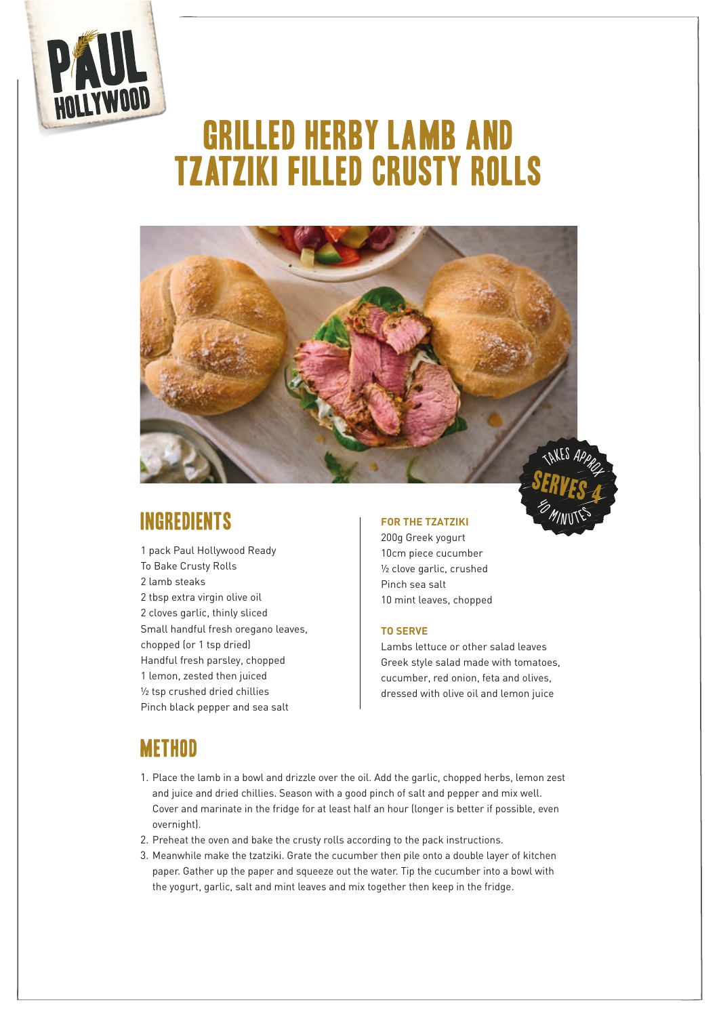

# GRILLED HERBY LAMB AND TZATZIKI FILLED CRUSTY ROLLS



## Ingredients

1 pack Paul Hollywood Ready To Bake Crusty Rolls 2 lamb steaks 2 tbsp extra virgin olive oil 2 cloves garlic, thinly sliced Small handful fresh oregano leaves, chopped (or 1 tsp dried) Handful fresh parsley, chopped 1 lemon, zested then juiced ½ tsp crushed dried chillies Pinch black pepper and sea salt

#### **FOR THE TZATZIKI**

200g Greek yogurt 10cm piece cucumber ½ clove garlic, crushed Pinch sea salt 10 mint leaves, chopped

#### **TO SERVE**

Lambs lettuce or other salad leaves Greek style salad made with tomatoes, cucumber, red onion, feta and olives, dressed with olive oil and lemon juice

**EN MITTES** 

### **METHOD**

- 1. Place the lamb in a bowl and drizzle over the oil. Add the garlic, chopped herbs, lemon zest and juice and dried chillies. Season with a good pinch of salt and pepper and mix well. Cover and marinate in the fridge for at least half an hour (longer is better if possible, even overnight).
- 2. Preheat the oven and bake the crusty rolls according to the pack instructions.
- 3. Meanwhile make the tzatziki. Grate the cucumber then pile onto a double layer of kitchen paper. Gather up the paper and squeeze out the water. Tip the cucumber into a bowl with the yogurt, garlic, salt and mint leaves and mix together then keep in the fridge.